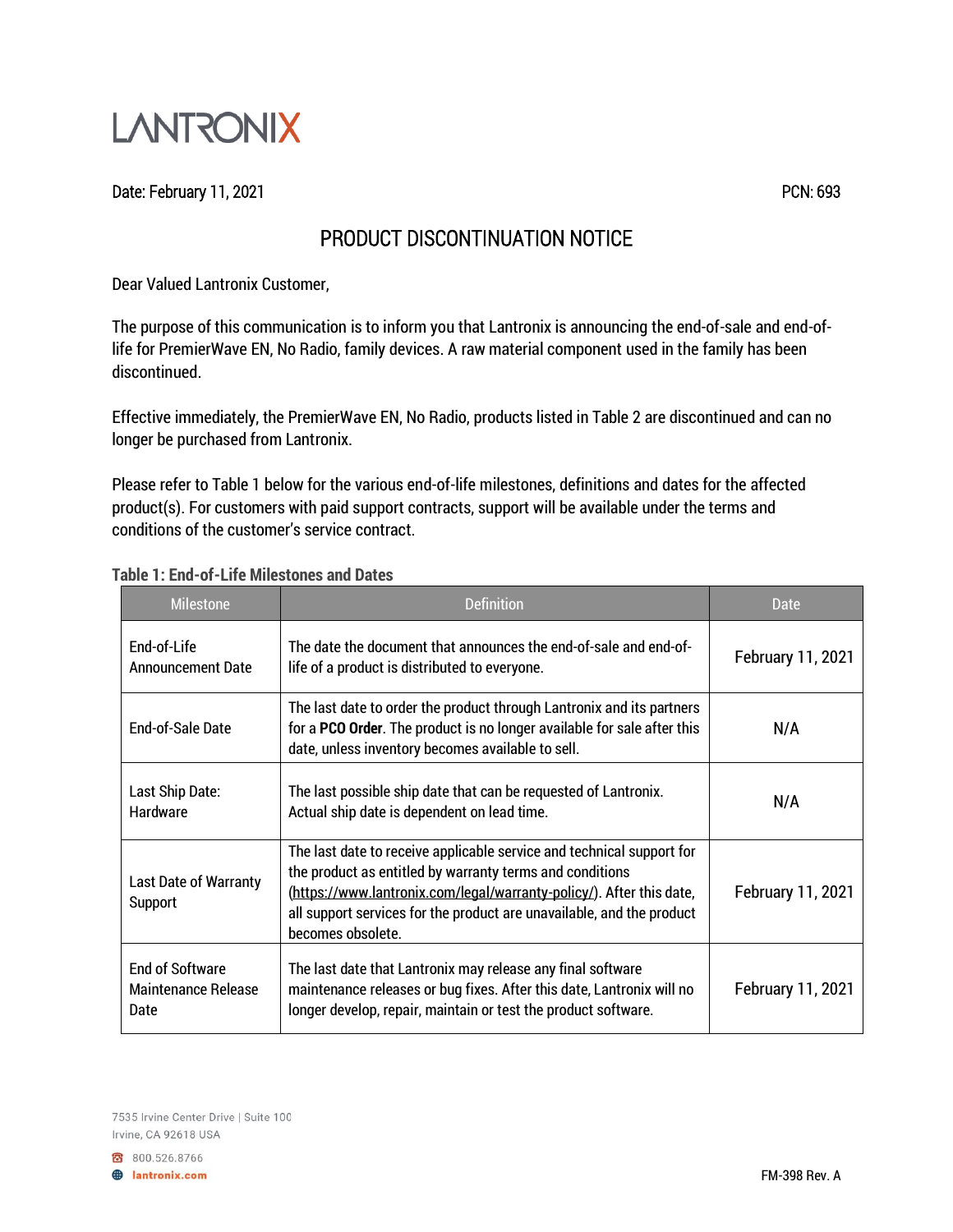

Date: February 11, 2021 **PCN: 693** 

## PRODUCT DISCONTINUATION NOTICE

Dear Valued Lantronix Customer,

The purpose of this communication is to inform you that Lantronix is announcing the end-of-sale and end-oflife for PremierWave EN, No Radio, family devices. A raw material component used in the family has been discontinued.

Effective immediately, the PremierWave EN, No Radio, products listed in Table 2 are discontinued and can no longer be purchased from Lantronix.

Please refer to Table 1 below for the various end-of-life milestones, definitions and dates for the affected product(s). For customers with paid support contracts, support will be available under the terms and conditions of the customer's service contract.

| <b>Milestone</b>                                             | <b>Definition</b>                                                                                                                                                                                                                                                                                       | Date                     |
|--------------------------------------------------------------|---------------------------------------------------------------------------------------------------------------------------------------------------------------------------------------------------------------------------------------------------------------------------------------------------------|--------------------------|
| End-of-Life<br><b>Announcement Date</b>                      | The date the document that announces the end-of-sale and end-of-<br>life of a product is distributed to everyone.                                                                                                                                                                                       | <b>February 11, 2021</b> |
| <b>End-of-Sale Date</b>                                      | The last date to order the product through Lantronix and its partners<br>for a <b>PCO Order</b> . The product is no longer available for sale after this<br>date, unless inventory becomes available to sell.                                                                                           | N/A                      |
| Last Ship Date:<br><b>Hardware</b>                           | The last possible ship date that can be requested of Lantronix.<br>Actual ship date is dependent on lead time.                                                                                                                                                                                          | N/A                      |
| <b>Last Date of Warranty</b><br>Support                      | The last date to receive applicable service and technical support for<br>the product as entitled by warranty terms and conditions<br>(https://www.lantronix.com/legal/warranty-policy/). After this date,<br>all support services for the product are unavailable, and the product<br>becomes obsolete. | <b>February 11, 2021</b> |
| <b>End of Software</b><br><b>Maintenance Release</b><br>Date | The last date that Lantronix may release any final software<br>maintenance releases or bug fixes. After this date, Lantronix will no<br>longer develop, repair, maintain or test the product software.                                                                                                  |                          |

## **Table 1: End-of-Life Milestones and Dates**

7535 Irvine Center Drive | Suite 100 Irvine, CA 92618 USA

800.526.8766 **B** lantronix.com